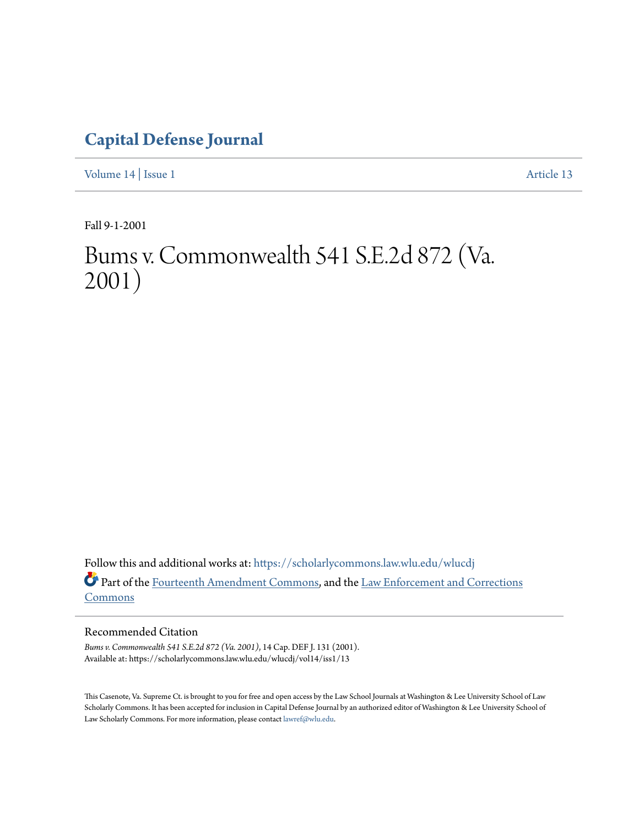# **[Capital Defense Journal](https://scholarlycommons.law.wlu.edu/wlucdj?utm_source=scholarlycommons.law.wlu.edu%2Fwlucdj%2Fvol14%2Fiss1%2F13&utm_medium=PDF&utm_campaign=PDFCoverPages)**

[Volume 14](https://scholarlycommons.law.wlu.edu/wlucdj/vol14?utm_source=scholarlycommons.law.wlu.edu%2Fwlucdj%2Fvol14%2Fiss1%2F13&utm_medium=PDF&utm_campaign=PDFCoverPages) | [Issue 1](https://scholarlycommons.law.wlu.edu/wlucdj/vol14/iss1?utm_source=scholarlycommons.law.wlu.edu%2Fwlucdj%2Fvol14%2Fiss1%2F13&utm_medium=PDF&utm_campaign=PDFCoverPages) [Article 13](https://scholarlycommons.law.wlu.edu/wlucdj/vol14/iss1/13?utm_source=scholarlycommons.law.wlu.edu%2Fwlucdj%2Fvol14%2Fiss1%2F13&utm_medium=PDF&utm_campaign=PDFCoverPages)

Fall 9-1-2001

# Bums v. Commonwealth 541 S.E.2d 872 (Va. 2001)

Follow this and additional works at: [https://scholarlycommons.law.wlu.edu/wlucdj](https://scholarlycommons.law.wlu.edu/wlucdj?utm_source=scholarlycommons.law.wlu.edu%2Fwlucdj%2Fvol14%2Fiss1%2F13&utm_medium=PDF&utm_campaign=PDFCoverPages) Part of the [Fourteenth Amendment Commons,](http://network.bepress.com/hgg/discipline/1116?utm_source=scholarlycommons.law.wlu.edu%2Fwlucdj%2Fvol14%2Fiss1%2F13&utm_medium=PDF&utm_campaign=PDFCoverPages) and the [Law Enforcement and Corrections](http://network.bepress.com/hgg/discipline/854?utm_source=scholarlycommons.law.wlu.edu%2Fwlucdj%2Fvol14%2Fiss1%2F13&utm_medium=PDF&utm_campaign=PDFCoverPages) [Commons](http://network.bepress.com/hgg/discipline/854?utm_source=scholarlycommons.law.wlu.edu%2Fwlucdj%2Fvol14%2Fiss1%2F13&utm_medium=PDF&utm_campaign=PDFCoverPages)

# Recommended Citation

*Bums v. Commonwealth 541 S.E.2d 872 (Va. 2001)*, 14 Cap. DEF J. 131 (2001). Available at: https://scholarlycommons.law.wlu.edu/wlucdj/vol14/iss1/13

This Casenote, Va. Supreme Ct. is brought to you for free and open access by the Law School Journals at Washington & Lee University School of Law Scholarly Commons. It has been accepted for inclusion in Capital Defense Journal by an authorized editor of Washington & Lee University School of Law Scholarly Commons. For more information, please contact [lawref@wlu.edu.](mailto:lawref@wlu.edu)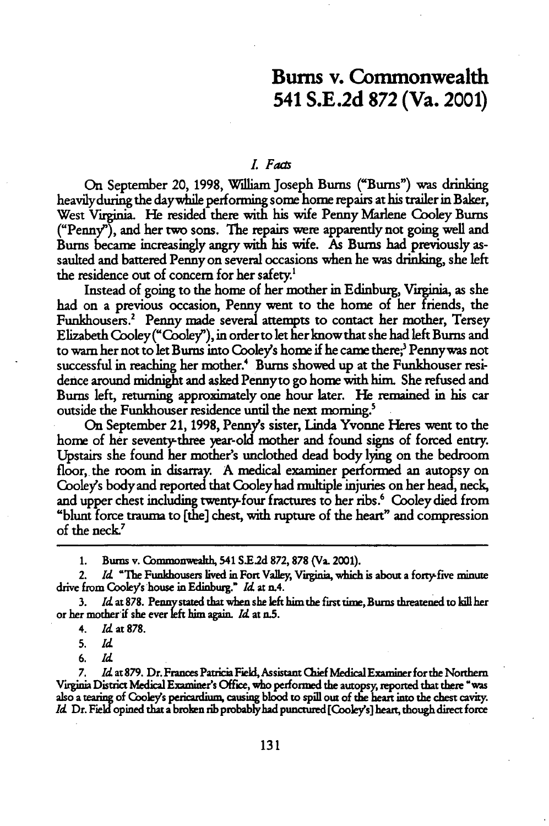# Bums v. Commonwealth 541 **S.E.2d 872** (Va. 2001)

#### *L Faas*

On September 20, **1998,** William Joseph **Burns** ("Bums") was drinking heavily during the day while performing some home repairs at his trailer in Baker, West **Virginia. He** resided there with his wife Penny Marlene Cooley Bums ("Penny"), and her two sons. The repairs were apparently not going well and Bums became increasingly angry with his wife. As Bums had previously assaulted and battered Penny on several occasions when he was drinking, she left the residence out of concern for her safety.<sup>1</sup>

Instead of going to the home of her mother in Edinburg, Virginia, as she had on a previous occasion, Penny went to the home of her friends, the Funkhousers.' Penny made several attempts to contact her mother, Tersey Elizabeth Cooley("Cooley), in orderto let her knowthat she had left Bums and to warn her not to let Bums into Cooleys home if he came there; Pennywas not successful in reaching her mother.4 Burns showed up at the Funkhouser residence around midnight and asked Pennyto go home with him. She refused and Bums left, returning approximately one hour later. He remained in his car outside the Funkhouser residence until the next morning.<sup>5</sup>

On September 21, 1998, Penny's sister, Linda Yvonne Heres went to the home of her seventy-three year-old mother and found signs of forced entry. Upstairs she found her mother's unclothed dead body lying on the bedroom floor, the room in disarray. **A** medical examiner performed an autopsy on Cooley's body and reported that Cooley had multiple injuries on her head, neck, and upper chest including twenty-four fractures to her ribs.<sup>6</sup> Cooley died from "blunt force trauma to [the] chest, with rupture of the heart" and compression of the neck<sup>7</sup>

**1.** Bums v. Commonwealth, 541 **S.E.2d 872,878** (Va. 2001).

2. *Id* "The Funkhousers lived in Fort Valley, Virgnia, which is about a forty-five minute drive from Cooley's house in Edinburg." *Id* at n.4.

1d at 878. Penny stated that when she left him the first time, Burns threatened to kill her or her mother-if she ever *let* him again. *Id* at a.5.

**5.** *Id*

*6. Id*

*7. Id* at 879. Dr. Frances PatriciaField, Assistant Chief Medical Examiner for the Northern Virginia District Medical Examiner's Office, who performed the autopsy, reported that there "was also a **tearing** of Cookys pericardium, causing blood **to** spill out of the heart into the chest cavity. *Id.* Dr. Field opined that a broken rib probably had punctured [Cooley's] heart, though direct force

<sup>4.</sup> *Id* **at878.**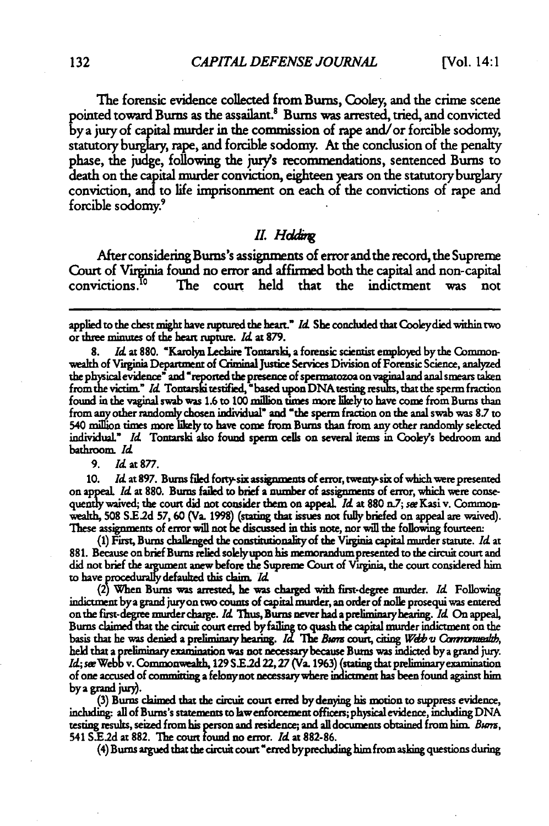The forensic evidence collected from Bums, Cooley, and the crime scene pointed toward Bums as the assailant! Bums **was** arrested, tried, and convicted **y** a jury of capital murder in the commission of rape and/or forcible sodomy, statutory **burglary,** rape, and forcible sodomy. **At** the conclusion of the penalty phase, the judge, following the jury's recomnendations, sentenced **Burns** to death on the capital murder conviction, eighteen **years** on the statutory burglary conviction, **and to** life imprisonment on each of the convictions of rape and forcible sodomy

#### *II. Hddi*

After considering Bums's assignments of error **and** the record, the Supreme Court of Virginia found no error and affirmed both the capital and non-capital convictions.<sup>10</sup> The court held that the indictment was not The court held that the indictment was not

applied to the chest might have ruptured the heart" *Id* She concluded that Cooleydied within two or three minutes of the heart rupture. *Id* at 879.

Id at 880. "Karolyn Leclaire Tontarski, a forensic scientist employed by the Commonwealth of Virginia Department of Giminal **justice Services Division** of Forensic Science, analyzed the physicalevidence" and' reported the presence of spermatozoa **on** vaginal and anal smears taken from the victim." *Id.* Tontarski testified, "based upon DNA testing results, that the sperm fraction found in the vaginal swab was **1.6** to **100** million times **more** likelyto have come from Bums than from any other randomly chosen **individual** and **-the** sperm fraction on the anal swab was **8.7** to 540 millon times **more likely** to have come from Bums than from any other randomly selected individual." *Id* Tontarski also found sperm cells on several items in Cooleys bedroom and bathroom. **/d**

#### **9.** *Id* at **877.**

**10.** M **at 897. Burms** filed fortysix assignments of error, twenrysix of which were presented on appeal *Id* at **880.** Bums failed to brief a number of assignments of error, which were consequently waived, the court did not consider them on appeal. *Id* at **880** n.7; sw Kasi v. Commonwealth, 508 S.E.2d 57, 60 (Va. 1998) (stating that issues not fully briefed on appeal are waived). **These** assignments of error will not **e** discussed in this note, nor will the following fourteen:

**(1)** First, Bums challenged the constitutionality of the Virginia capital murder statute. *Id* at **881.** Because on brief Bums relied solelyupon **his** mremorandum presented to the circuit court and did not brief the argument **anew** before the Supreme Court of Virginia, the court considered him **to** have procedurllydefauled this claim. *Ad*

**(2)** When Bums **was** arrested, he was charged with first-degree murder. *Id* Following indictment bya grand juryon two counts of capital murder, an order of nolle prosequi was entered on the first-degree murder charge. *Id* **Thus,** Burns never had apreliminyhearing. *Id* On appeal, Bums chimed that the circuit court erred **byfaiing** to quash the capital murder indictment on the basis that he was denied a preliminary hearing. *Id* The *Burn* court, citing *Web <i>v* Commontealth, held that a preliminary examination was not necessary because Burns was indicted by a grand jury. *ML;* seeWebb v. Commonwealth, **129 S.E2d 22,27** (Va. **1%3)** (stating that preliminaryexamination of one accused of committing a felony not necessary where indictment has been found against him by a **grand** jury. **(3)** Bums chimed that the circuit court erred **by** denying his motion to **suppress** evidence,

including. all of Bums's statements **to law** enforcement officers; physical evidence, including **DNA** testing results, seized from his person and residence; and all documents obtained from him. *Buim,* 541 **S.E2d** at **882.** The court found no error. *Ad* **at 882-86.**

(4) Burns argued that the circuit court'erred byprecluding him from asking questions during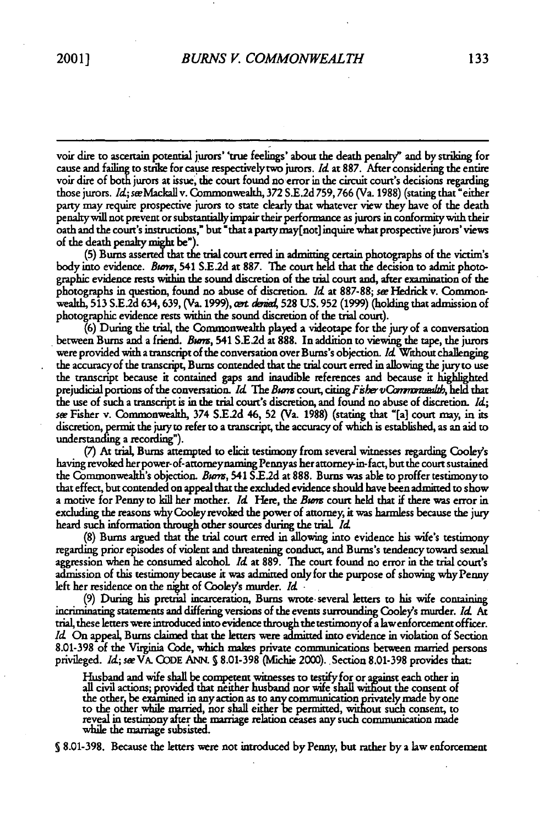voir dire to ascertain potential jurors' 'true feelings' about the death penaly" and **by** striking for **cause** and failing to strike for cause respectively two jurors. *Id* at **887.** After considering the entire voir **dire** of both jurors at issue, the court found no error in the circuit court's decisions regarding those jurors. *Id.; see Mackall v. Commonwealth, 372 S.E.2d 759, 766 (Va. 1988) (stating that "either* party may require prospective jurors to state clearly that whatever view they have of the death penalty will not prevent or substantially impair their performance as jurors in conformity with their oath and the court's instructions," but "that a partymay(not] inquire what prospective jurors' views of the death penalty **might** be").

**(5)** Bums asserted **that** the trial court erred in admitting certain photographs of the victim's body into evidence. *Bums,* 541 **S.E.2d** at **887.** The court held that the decision to admit photographic evidence rests within the sound discretion of the trial court and, after examination of the photographs in question, found no abuse of discretion. *Id* at 887-88; *see* Hedrick v. Commonwealth, **513 S.E.2d** 634, **639,** (Va. **1999), wt** *d&a* **528 US. 952 (1999)** (holding that admission of photographic evidence rests within the sound discretion of the trial court).

(6) During the trial, the Commonwealth played a videotape for the jury of a conversation between **Burns** and a friend. *Bum,* 541 **SE.2d** at **888. In addition** to viewing the tape, the jurors were provided with a transcript of the conversation over Bums's objection. *Id* Without challenging the accuracy of the transcript, Bums contended that the trial court erred in allowing the jury to use the transcript because it contained gaps and inaudible references and because it highlighted prejudicial portions of the conversation. *Id.* The Bums court, citing *Fisher vCommunaualth*, held that the use of such a transcript is in the trial court's discretion, and found no abuse of discretion. *Id; see* Fisher v. Commonwealth, 374 S.E.2d 46, **52** (Va. 1988) (stating that "[a] court may, in its discretion, permit the jury to refer to a transcript, the accuracy of which is established, as an aid to understanding a recording").

(7) At trial, Bums attempted to elicit testimony from several witnesses regarding Cooley's having revoked her power-of- attomeynaming Pennyas her attomey-in-fact, but the court sustained the Commonwealth's objection. **Brn,** 541 **S.E2d** at **888.** Burns was able to proffer testimonyto that effect, but contended on appeal that the excluded evidence should have been admitted to show a motive for Penny to kill her mother. *Id* Here, the *Bwm* court held that if there was error in excluding the reasons why Cooley revoked the power of attorney, it was harmless because the **jury** heard such information through other sources during the trial. *Id*

(8) Bums argued that the trial court erred in allowing into evidence his wife's testimony regarding prior episodes of violent and threatening conduct, and Burns's tendency toward sexual aggression when he consumed alcohoL Id at **889. The** court found no error in the trial court's admission of this testimony because it was admitted only for the purpose of showing why Penny left her residence on the night of Cooley's murder. *Id* .

**(9)** During his pretrial incarceration, Bums wrote-several letters to his wife containing incriminating statements and differing versions of the events surrounding Cooley's murder. *Id* **At** trial, these letters were introduced into evidence through the testimonyof a lawenforcement officer. *Id* On appeal, **Burns** claimed that the letters were admitted into evidence in violation of Section **8.01-398** of the Virginia **Code,** which **makes** private communications between married persons privileged. *Id*; see VA. CODE ANN. § 8.01-398 (Michie 2000). Section 8.01-398 provides that:

Husband and wife shall be competent witnesses to testify for or azainst each other in all civil actions; provided that neither husband nor wife shall wit'out the conent of the other, be examined in any action as to any communication privately made by one<br>to the other while married, nor shall either be permitted, without such consent, to<br>reveal in testimony after the marriage relation ceases while the marriage subsisted.

**§8.01-398.** Because the letters were not introduced **by** Penny, but rather **by** a law enforcement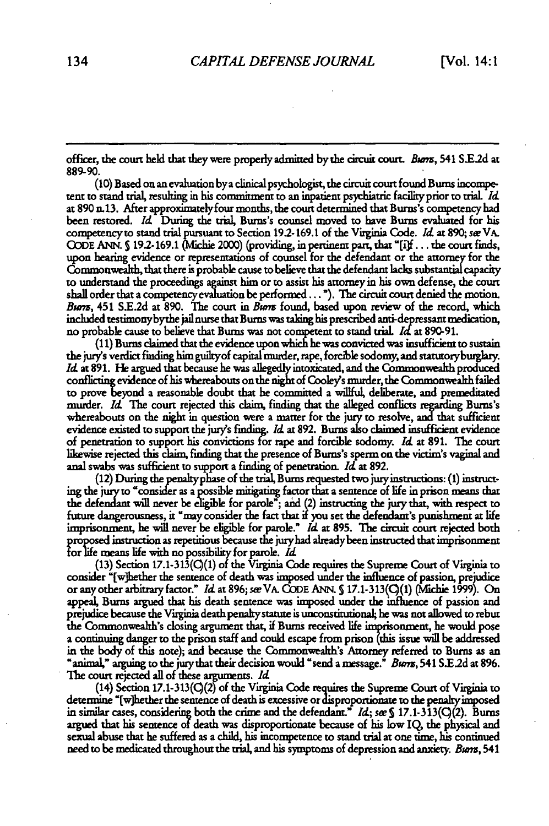officer, the court held that theywere properly admitted bythe circuit court. *Bmn,* 541 **S.2d** at **889-90.**

**(10)** Based on an evaluation bya clinical psychologist, the circuit court found Bums micompetent to stand trial, resulting in his commitment to an inpatient psychiatric facility prior to trial Id. at 890 n13. After approximatelyfour months, the court determined that Burns's competency had been restored. *Id* During the trial, Burns's counsel moved to have Burns evaluated for his competency to stand trial pursuant to Section **19.2-169.1** of the Virginia Code. **14d** at **890; see** VA. **QODE ANN. S 19.2-169.1** (lichie 2000) **(providing,** in pertinent part, that **[if...** the court finds, upon hearing evidence or representations of counsel for the defendant or the attorney for the Commonwealth, that there is probable cause to believe that the defendant **lacks** substantial capacity to understand the proceedings **against** him or **to** assist *his* attorneyin his own defense, the court shall order that a competencyevaluation be performed... **).** The circuit court denied the motion. *Bwv,* 451 **SE.2d** at **890.** The court in *Burn* found, based upon review of the record, which included testimonybythe jail nurse that Burns was taking his prescribed anti-depressant medication, no probable cause to believe that Bums was not competent **to** stand trial **Id** at 890-91.

(11) Burns claimed that the evidence upon which he was convicted was insufficient to sustain the **jury's** verdict finding him guiltyof capital murder, rape, forcible sodomy, and statutoryburglary. *M4* at 891. He argued that because he was allegedly intoxicated, and the Commonwealth produced conflicting evidence of his whereabouts on the night of **Cooley's murder,** the Commonwealth failed to prove beynd a reasonable doubt that he committed a willful, deliberate, and premeditated murder. Id The court rejected this claim, finding that the alleged conflicts regarding Bums's whereabouts on the night in question were a matter for the jury to resolve, and that sufficient evidence existed to support the jury's finding. *Id.* at 892. Burns also claimed insufficient evidence of penetration to support his convictions for rape and forcible sodomy. Id at 891. The court likewise rejected this claim, finding that the presence of Burns's sperm on the victim's vaginal and anal swabs was sufficient to support a finding of penetration. Id at 892.

(12) During the penaltyphase of the trial, Bums requested two jury istructions: **(1)** instruct**ing** the to consider as a possible mitigating factor that a sentence of life in prison means that **the defendant** will never be eligible for parole"; and (2) instructing the jury that, with respect to future dangerousness, it "may consider the fact that if **you** set the defendant's punishment **at** life imprisonment, he will never be eligible for parole." *Id* at 895. The circuit court rejected both proposed instruction as repetitious because the juryhad alreadyheen instructed that imprisonment for life means life with no possibility for parole. *Id*

(13) Section 17.1-313(Q(1) of the V'aginia Code requires the Supreme Court of Virginia to consider "[w]hether the sentence of death was imposed under the influence of passion, prejudice or any other arbitrary factor." Idat 896;s&eVA. CODE **ANN. S** 17.1-313(C(1) (Michie **1999).** On appeal, Burns argued that his death sentence was imposed under the influence of passion and prejudice because the Virginia death penaltystatute is unconstitutional; he was not allowed **to** rebut the Commonwealth's closing argument that, if Bums received life **risonment,** he would pose **a** continuing danger to the prison staff and could escape from prison (this issue will be addressed in the body of this note); and because the Commonwealth's Attorney referred **to Burns** as an "animal," arguing **to** the jurythat their decision would "send a message." *Bu m,* 541 S.E.2d at **896.** The court rejected all of these arguments. *1Id*

(14) Section 17.1-313( $Q(2)$  of the Virginia Code requires the Supreme Court of Virginia to determine "[w]hether the sentence of death is excessive **or proportionate to the penatyimposed** in similar cases, considerng both the crime and the defendant." **1d;** see <sup>S</sup>17.1-313(q(2). Burns argued that his sentence of death was disproportionate because of his low IQ, the physical and sexual abuse that he suffered as a child, his incompetence to stand trial at one time, his continued need to be medicated throughout the trial, and his symptoms of depression and anxiety. *Burs,* 541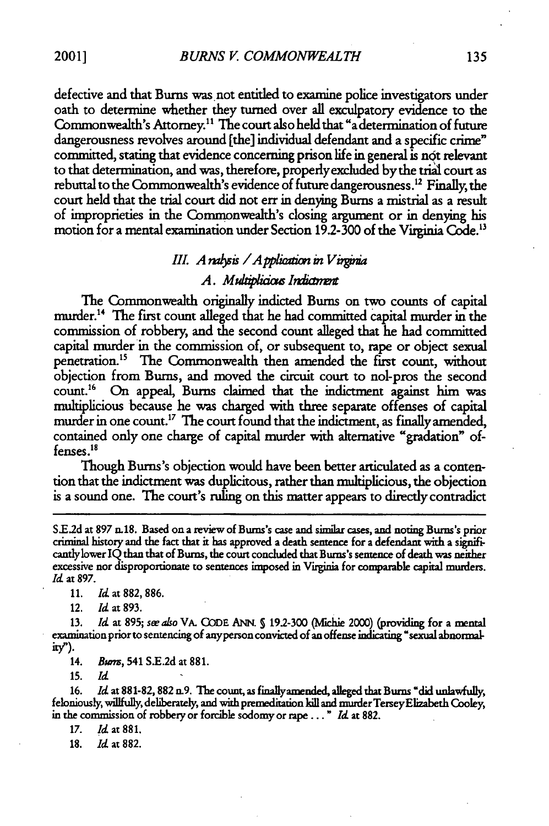defective and that Bums was not entitled to examine police investigators under oath to determine whether they turned over all exculpatory evidence to the Commonwealth's Attorney.<sup>11</sup> The court also held that "a determination of future dangerousness revolves around [the] individual defendant and a specific crime" committed, stating that evidence concerning prison life in general is not relevant to that determination, and was, therefore, properly excluded by the trial court as rebuttal to the Commonwealth's evidence of future dangerousness.<sup>12</sup> Finally, the court held that the trial court did not err in denying Bums a mistrial as a result of improprieties in the Commonwealth's dosing argument or in denying his motion for a mental examination under Section 19.2- 300 of the Virginia Code."

# *III. A nalysis / A pplication in Virginia*

# *A. Mukplicim Ihdin t*

The Commonwealth originally indicted Bums on two counts of capital murder.'4 The first count alleged that he had committed capital murder in the commission of robbery, and the second count alleged that he had committed capital murder in the commission of, or subsequent to, rape or object sexual penetration.5 The Commonwealth then amended the first count, without objection from Bums, and moved the circuit court to nol-pros the second count.<sup>16</sup> On appeal, Burns claimed that the indictment against him was multiplicious because he was charged with three separate offenses of capital murder in one count.<sup>17</sup> The court found that the indictment, as finally amended, contained only one charge of capital murder with alternative "gradation" offenses.<sup>18</sup>

Though Bums's objection would have been better articulated as a contention that the indictment was duplicitous, rather than multiplicious, the objection is a sound one. The court's ruling on this matter appears to directly contradict

**11. Id** at **882, 886.**

12. *Id* at 893.

13. *Id.* at 895; *see also* VA. CODE ANN. § 19.2-300 (Michie 2000) (providing for a mental examination prior to sentencing of anyperson convicted of an offense indicating "sexual abnormalitW).

14. *Bwm,* 541 S.E.2d at 881.

**15.** Id

**16.** Id at 881-82, **882** n.9. The count, as finallyamended, alleged that Bums "did unlawfully, feloniously, willfully, deliberately, and with premeditation kill and murder Tersey Elizabeth Cooley, in the commission of robbery or forcible sodomy or rape..'. *Id* at 882.

**17.** *Id* at **881.**

**18.** *Id* at **882.**

S.E.2d at 897 n.18. Based on a review of Burns's case and similar cases, and noting Burns's prior criminal history and the fact that it has approved a death sentence for a defendant with a significantlylower IQ than that of Bums, the court concluded that Bums's sentence of death was neither excessive nor disproportionate to sentences imposed in Virginia for comparable capital murders. *Id* at 897.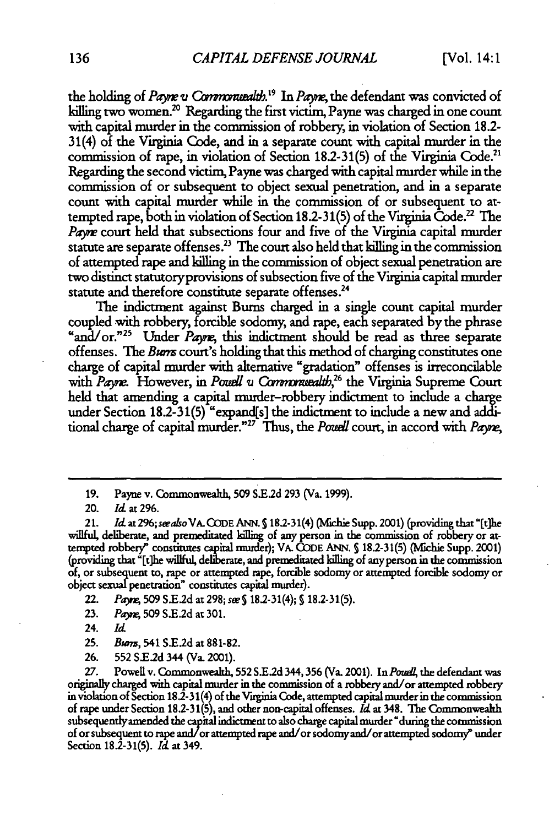the holding of *Payne v Commonuealth*.<sup>19</sup> In *Payne*, the defendant was convicted of killing two women.<sup>20</sup> Regarding the first victim, Payne was charged in one count with capital murder in the commission of robbery, in violation of Section **18.2-** 31(4) of the Virginia Code, and in a separate count with capital murder in the commission of rape, in violation of Section 18.2-31(5) of the Virginia Code." Regarding the second victim, Payne was charged with capital murder while in the commission of or subsequent to object sexual penetration, and in a separate count with capital murder while in the commission of or subsequent to attempted rape, both in violation of Section 18.2-31(5) of the Virginia Code.22 The Payne court held that subsections four and five of the Virginia capital murder statute are separate offenses.<sup>23</sup> The court also held that killing in the commission of attempted rape and killing in the commission of object sexual penetration are two distinct statutoryprovisions of subsection five of the Virginia capital murder statute and therefore constitute separate offenses.<sup>24</sup>

The indictment against Bums charged in a single count capital murder coupled with robbery, forcible sodomy, and rape, each separated by the phrase "and/or."<sup>25</sup> Under *Payre*, this indictment should be read as three separate offenses. The *Burm* court's holding that this method of charging constitutes one charge of capital murder with alternative "gradation" offenses is irreconcilable with *Payne*. However, in *Pouell v Commonvealth*,<sup>26</sup> the Virginia Supreme Court held that amending a capital murder-robbery indictment to include a charge under Section 18.2-31(5) "expand[s] the indictment to include a new and additional charge of capital murder."<sup>27</sup> Thus, the *Powell* court, in accord with *Payne*,

20. *Id* at 296.

21. *Id* at *296;swasoVA.* **CODE ANN.** S18.2-31(4) *(Michie* Supp. 2001) (providing that "[t]he willful, deliberate, and premeditated killing of any person in the commission of robbery or attempted robbery" constitutes capital murder); VA. **CODE ANN. S** 182-31(5) (Mfchie Supp. 2001) (providing that "[t]he willful, deliberate, and premeditated killing of any person in the commission of, or subsequent to, rape or attempted rape, forcible sodomy or attempted forcible sodomy or object sexual penetration" constitutes capital murder).

22. *Paym* **509** S.E.2d at 298; *see* **§** 18.2-31(4); **S** 18.2-31(5).

- **23.** *Paj.,* **509 SE.2d** at 301.
- 24. *Id*

**25.** *Bwm,* 541 **S.E2d** at 881-82.

26. **552 S.E.2d** 344 (Va. 2001).

27. Powell v. Commonwealth, 552 S.E.2d 344, 356 (Va. 2001). In *Pouell*, the defendant was originally charged with capital murder in the commission of a robbery and/or attempted robbery in violation of Section 18.2- 31(4) of the Viuginia Code, attempted capital murder in the commission of rape under Section 18.2-31(5), and other non-capital offenses. *Id* at 348. The Commonwealth subsequently amended the capital indictment to also charge capital murder "during the commission of or subsequent to rape **and/or** attempted rape and/or sodomy and/or attempted sodomy" under Section 18.2-31(5). *Id* at 349.

**<sup>19.</sup>** Payne v. Commonwealth, **509 S.E2d 293** (Va. 1999).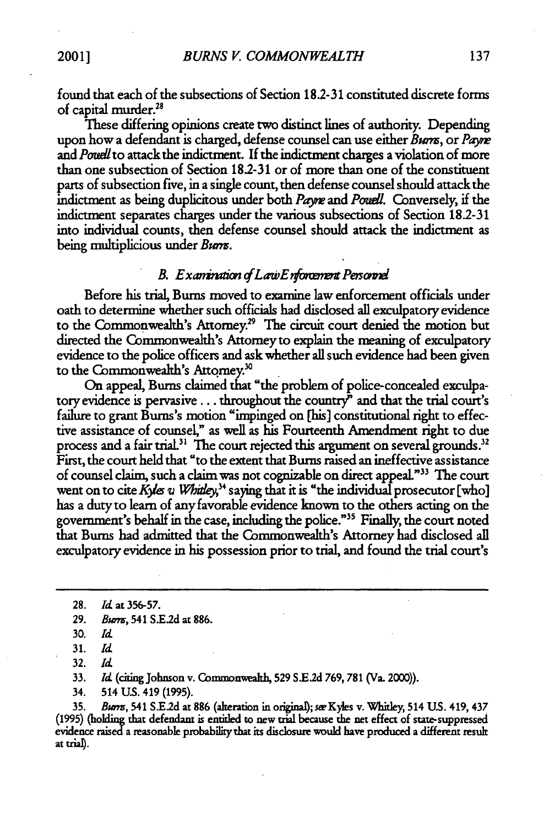found that each of the subsections of Section **18.2-31** constituted discrete forms of capital murder.<sup>28</sup>

These differing opinions create two distinct lines of authority. Depending upon how a defendant is charged, defense counsel can use either *Burs,* or *Payw* and *Poudlto* attack the indictment. **If** the indictment charges a violation of more than one subsection of Section **182-31** or of more than one of the constituent parts of subsection five, in a single count, then defense counsel should attack the indictment as being duplicitous under both *Parjw* and *Pouedl.* Conversely, if the indictment separates charges under the various subsections of Section 18.2-31 into individual counts, then defense counsel should attack the indictment as being multiplicious under *Burn.*

## **B.** Examination of Law Enforcement Personnel

Before his trial, Bums moved to examine law enforcement officials under oath to determine whether such officials had disclosed all exculpatory evidence to the Commonwealth's Attorney.<sup>29</sup> The circuit court denied the motion but directed the Commonwealth's Attorney to explain the meaning of exculpatory evidence to the police officers and ask whether all such evidence had been given to the Commonwealth's Attorney.<sup>30</sup>

On appeal, Bums claimed that "the problem of police-concealed exculpatory evidence is pervasive.., throughout the country" and that the trial court's failure to grant Burns's motion "impinged on [his] constitutional right to effective assistance of counsel," as well as his Fourteenth Amendment right to due process and a fair trial.<sup>31</sup> The court rejected this argument on several grounds.<sup>32</sup> First, the court held that "to the extent that Burns raised an ineffective assistance of counsel claim, such a claim was not cognizable on direct appeal."33 The court went on to cite *Kyles u Whitley*,<sup>34</sup> saying that it is "the individual prosecutor [who] has a duty to learn of any favorable evidence known to the others acting on the government's behalf in the case, including the police."" Finally, the court noted that Bums had admitted that the Commonwealth's Attomey had disclosed all exculpatory evidence in his possession prior to trial, and found the trial court's

**32.** *Id*

**33.** *Id* (citing Johnson v. Commonwealh, **529 SE.2d 769, 781** (Va. 2000)).

34. 514 **US.** 419 (1995).

**35.** *Bwns,* 541 **S.E2d** at 886 (alteration in original; *see* Kyles v. Whitley, 514 **US.** 419, 437 (1995) (holding that defendant is entitled to new trial because the net effect of state-suppressed evidence rised a reasonable probability that its disclosure would have produced a different result at trial).

<sup>28.</sup> *Id* at **356-57.**

**<sup>29.</sup>** *Bwu,* 541 **SXE2d** at **886.**

**<sup>30.</sup>** *Id*

**<sup>31.</sup>** *Id*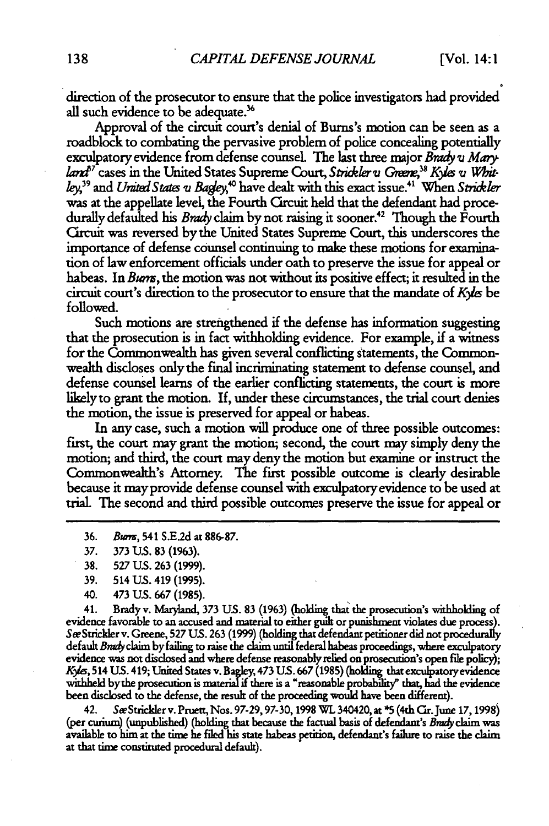direction of the prosecutor to ensure that the police investigators had provided all such evidence to be adequate.<sup>36</sup>

Approval of the circuit court's denial of Bums's motion can be seen as a roadblock to combating the pervasive problem of police concealing potentially exculpatory evidence from defense counsel. The last three major *Brady v Mary*<br>land<sup>37</sup> cases in the United States Supreme Court, Strickler v Greene,<sup>38</sup> Kyles v Whit*ley*,<sup>39</sup> and *United States u Bagley*,<sup>40</sup> have dealt with this exact issue.<sup>41</sup> When Strickler was at the appellate level, the Fourth Circuit held that the defendant had procedurally defaulted his *Brady* claim by not raising it sooner.42 Though the Fourth Circuit was reversed by the United States Supreme Court, this underscores the importance of defense counsel continuing to make these motions for examination of law enforcement officials under oath to preserve the issue for appeal or habeas. In *Buns,* the motion was not without its positive effect; it resulted in the circuit court's direction to the prosecutor to ensure that the mandate of *K\*Ie* be followed.

Such motions are strengthened if the defense has information suggesting that the prosecution is in fact withholding evidence. For example, if a witness for the Commonwealth has given several conflicting statements, the Commonwealth discloses only the final incriminating statement to defense counsel, and defense counsel learns of the earlier conflicting statements, the court is more likely to grant the motion. If, under these circumstances, the trial court denies the motion, the issue is preserved for appeal or habeas.

In any case, such a motion will produce one of three possible outcomes: first, the court may grant the motion; second, the court may simply deny the motion; and third, the court may deny the motion but examine or instruct the Commonwealth's Attorney. The first possible outcome is clearly desirable because it may provide defense counsel with exculpatory evidence to be used at trial. The second and third possible outcomes preserve the issue for appeal or

- 36. *Buns,* 541 S.E2d at 886-87.
- **37. 373 US. 83 (1963).**
- **38.** 527 **US.** 263 (1999).
- 39. 514 **US.** 419 (1995).
- 40. 473 **US. 667** (1985).

41. Brady v. Maryland, **373 US. 83** (1963) (holding that the prosecution's withholding of evidence favorable to an accused and material to either guilt or punishment violates due process). SeStrickler v. Greene, **527 US.** 263 **(1999)** (holding that defendant petitioner did not procedurally default *Brady* claim by failing to raise the claim until federal habeas proceedings, where exculpatory evidence was not disclosed and where defense reasonably relied on prosecution's open file policy); *K\*,* 514 **US.** 419; United States v. Bagley, 473 **US. 667** (1985) (holding that exculpatoryevidence withheld by the prosecution is material if there is a "reasonable probability" that, had the evidence been disclosed to the defense, the result of the proceeding would have been different).

42. Sæ Strickler v. Pruett, Nos. 97-29, 97-30, 1998 WL 340420, at \*5 (4th Cir. June 17, 1998) (per curium) (unpublished) (holding that because the factual basis of defendant's *Brady* claim was available to him at the time he filed his state habeas petition, defendant's failum to raise the claim at that time constiuted procedural default).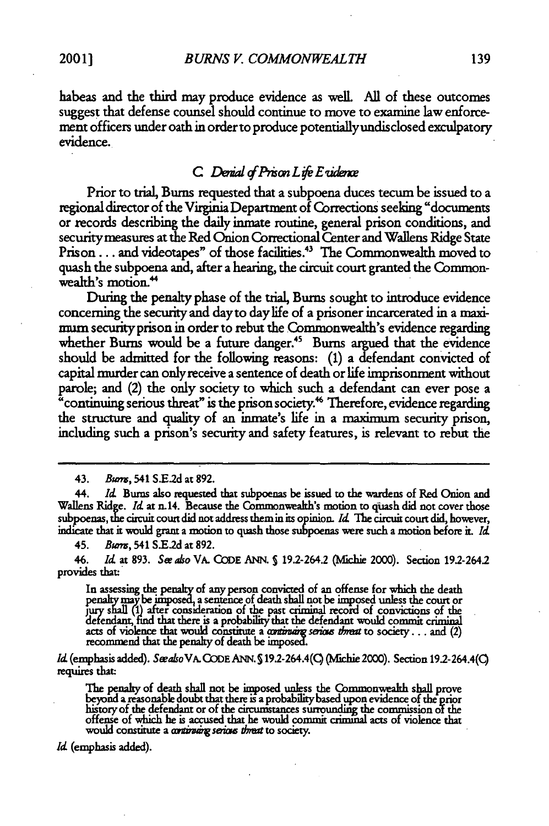habeas and the third may produce evidence as well. All of these outcomes suggest that defense counsel should continue to move to examine law enforcement officers under oath in order to produce potentiallyundisclosed exculpatory evidence.

## *C. Denial of Prison Life E vidence*

Prior to trial, Bums requested that a subpoena duces tecum be issued to a regional director of the Virginia Department of Corrections seeking "documents or records describing the daily inmate routine, general prison conditions, and securitymeasures at the Red Onion Correctional Center and Wallens Ridge State Prison... and videotapes" of those facilities.<sup>43</sup> The Commonwealth moved to quash the subpoena and, after a hearing, the circuit court granted the Commonwealth's motion.<sup>44</sup>

During the penalty phase of the trial, Bums sought to introduce evidence concerning the security and day to day life of a prisoner incarcerated in a maximum securityprison in order to rebut the Commonwealth's evidence regarding whether Burns would be a future danger.<sup>45</sup> Burns argued that the evidence should be admitted for the following reasons: (1) a defendant convicted of capital murder can onlyreceive a sentence of death or life imprisonment without parole; and (2) the only society to which such a defendant can ever pose a "continuing serious threat" is the prison society.<sup>46</sup> Therefore, evidence regarding the structure and quality of an inmate's life in a maximurm security prison, including such a prison's security and safety features, is relevant to rebut the

45. *Bwm,* 541 **SE.2d** at 892.

46. *Id* at 893. Se *ahso* VA. CODE ANN. **S** 19.2-264.2 (Nfichie 2000). Section 19.2-264.2 provides that:

In assessing the penalty of any person convicted of an offense for which the death penalty may be imposed, a sentence of death shall not be imposed unless the court or<br>jury shall (1) after consideration of the past criminal record of convictions of the<br>defendant, find that there is a probability that the

*Id* (emphasis added). *SwakoVA.* CODE ANN. **S** 19.2-264.4(Q (Nichie 2000). Section 19.2-264.4(Q requires that:

The penalty of death shall not be imposed unless the Commonwealth shall prove<br>beyond a reasonable doubt that there is a probability based upon evidence of the prior<br>history of the defendant or of the circumstances surround offense of which **he** is accused that he would commit crimmal acts of violence that would constitute a *continuing serious threat* to society.

*Id* (emphasis added).

<sup>43.</sup> Burrs, 541 S.E.2d at 892.

<sup>44.</sup> *Id.* Burns also requested that subpoenas be issued to the wardens of Red Onion and Wallens Ridge. *Id* at n.14. Because the Commonwealth's motion to quash did not cover those subpoenas, the circuit court did not address them in Its opinion. *Id* The circuit court did, however, indicate that it would grant a motion to quash those subpoenas were such a motion before it *Id*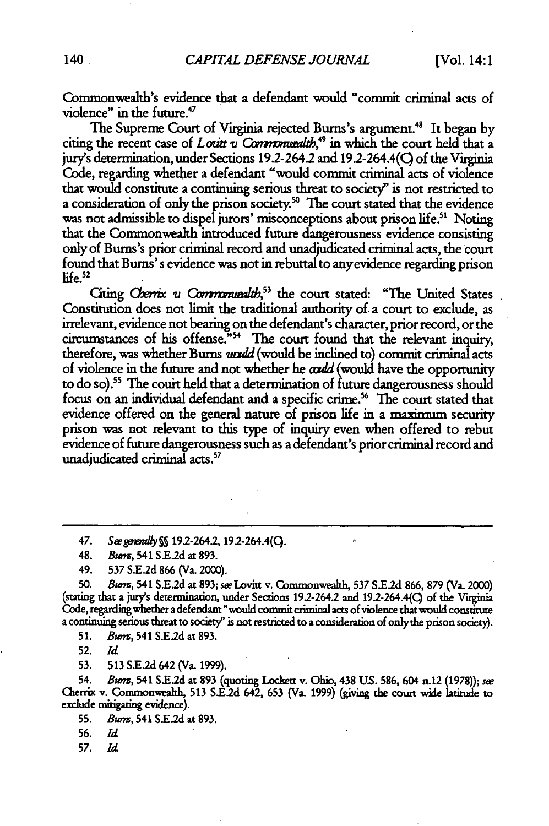Commonwealth's evidence that a defendant would "commit criminal acts of violence" in the future.<sup>47</sup>

The Supreme Court of Virginia rejected Burns's argument.<sup>48</sup> It began by citing the recent case of *Louit v Commonwealth*,<sup>49</sup> in which the court held that a jury's determination, under Sections 192-264.2 and 19.2-264.4(Q of the Virginia Code, regarding whether a defendant "would commit criminal acts of violence that would constitute a continuing serious threat to society" is not restricted to a consideration of only the prison society.<sup>50</sup> The court stated that the evidence was not admissible to dispel jurors' misconceptions about prison life.<sup>51</sup> Noting that the Commonwealth introduced future dangerousness evidence consisting only of Bums's prior criminal record and unadjudicated criminal acts, the court found that Bums's evidence was not in rebuttal to anyevidence regarding prison  $l$ ife $.52$ 

Citing *Cherrix v Commonwealth*,<sup>53</sup> the court stated: "The United States Constitution does not limit the traditional authority of a court to exclude, as irrelevant, evidence not bearing on the defendant's character, prior record, or the circumstances of his offense."<sup>54</sup> The court found that the relevant inquiry, therefore, was whether Burns *uould* (would be inclined to) commit criminal acts of violence in the future and not whether he *could* (would have the opportunity to do so).<sup>55</sup> The court held that a determination of future dangerousness should focus on an individual defendant and a specific crime.<sup>56</sup> The court stated that evidence offered on the general nature of prison life in a maximum security prison was not relevant to this type of inquiry even when offered to rebut evidence of future dangerousness such as a defendant's prior criminal record and unadjudicated criminal acts.<sup>57</sup>

**50.** *Bunm,* 541 S.E2d at **893;** *se* Lovitt v. Commonwealth, **537 S.E.2d 866, 879** (Va. 2000) (stating that a **jury's** determination, under Sections 192-264.2 and 192-264.4(Q of the Virginia **Gde,** regarding whether a defendant "would commit criminal acts of violence that would constitute a continuing serious threat to society" is not restricted to a consideration of onlythe prison society).

**51.** Bum, 541 S.E2d at 893.

**52.** *Id*

53. 513 **S.E.2d** 642 (Va. 1999).

54. *Bumn,* 541 S.E2d at **893** (quoting Lockett v. Ohio, 438 US. **586,** 604 n.12 (1978)); *sw* Cherrix v. Commonweahh, **513** S.E.2d 642, **653** (Va. 1999) (giving the court wide latitude to exclude mitigating evidence).

**55.** *Bwns,* 541 S.E.2d at 893.

**57.** *Id*

<sup>47.</sup> *See generally* §§ 19.2-264.2, 19.2-264.4(○,

<sup>48.</sup> *Burm,* 541 S.E.2d at **893.**

<sup>49.</sup> **537 S.E2d 866** (Va. 2000).

**<sup>56.</sup>** *Id*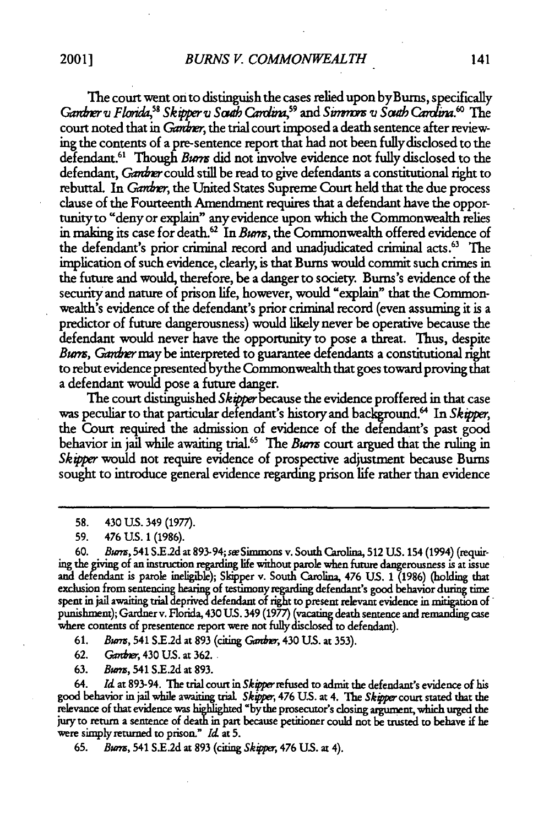The court went onto distinguish the cases relied upon byBums, specifically Gardner  $u$  Florida,<sup>58</sup> Skipper  $u$  South Carolina,<sup>59</sup> and Simmons  $u$  South Carolina.<sup>60</sup> The court noted that in *Gardner*, the trial court imposed a death sentence after reviewing the contents of a pre-sentence report that had not been fully disclosed to the defendant.<sup>61</sup> Though Burns did not involve evidence not fully disclosed to the defendant, *Gandner* could still be read to give defendants a constitutional right to rebuttal. In *Gardner*, the United States Supreme Court held that the due process clause of the Fourteenth Amendment requires that a defendant have the opportunity to "deny or explain" any evidence upon which the Commonwealth relies in making its case for death.<sup>62</sup> In Burns, the Commonwealth offered evidence of the defendant's prior criminal record and unadjudicated criminal acts.63 The implication of such evidence, clearly, is that Bums would commit such crimes in the future and would, therefore, be a danger to society. Bums's evidence of the security and nature of prison life, however, would "explain" that the Commonwealth's evidence of the defendant's prior criminal record (even assuming it is a predictor of future dangerousness) would likely never be operative because the defendant would never have the opportunity to pose a threat. Thus, despite Burns, Gandner may be interpreted to guarantee defendants a constitutional right to rebut evidence presented bythe Commonwealth that goes toward proving that a defendant would pose a future danger.

The court distinguished *Skipper* because the evidence proffered in that case was peculiar to that particular defendant's history and background.6' In *Skipper,* the Court required the admission of evidence of the defendant's past good behavior in jail while awaiting trial.<sup>65</sup> The Burrs court argued that the ruling in *Skipper* would not require evidence of prospective adjustment because Burns sought to introduce general evidence regarding prison life rather than evidence

61. *Burns*, 541 S.E.2d at 893 (citing Gardner, 430 U.S. at 353).

62. Ganther, 430 U.S. at 362.

63. Burrs, 541 S.E.2d at 893.

64. **Id** at **893-94.** The trial court in Skoperrefused to admit the defendant's evidence of his good behavior in jail while awaiting trial. Skipper, 476 U.S. at 4. The Skipper court stated that the relevance of that evidence was highlighted "bythe prosecutor's closing argument, which urged the jury to return a sentence of death in part because petitioner could not be trusted to behave if he were simply returned to prison." **Id** at 5.

65. Burrs, 541 S.E.2d at 893 (citing Skipper, 476 U.S. at 4).

**<sup>58.</sup>** 430 US. 349 (1977).

<sup>59. 476</sup> U.S. 1 (1986).

**<sup>60.</sup>** Bwm, 541 **S.El2d** at **893-94;** seeSimmons v. South Carolina, 512 **US.** 154 (1994) (requir- ing the giving of an instruction regarding life without parole when future dangerousness is at issue and defendant is parole ineligible); Skipper v. South Carolina, 476 **US.** 1 (1986) (holding that exclusion from sentencing **hearing** of testimony regarding defendant's good behavior during time spent in jail awaiting trial deprived defendant **of** right to present relevant evidence in mitigation of\* punishment); Gardner v. Florida, 430 U.S. 349 (1977) (vacating death sentence and remanding case where contents of presentence report were not fully disclosed to defendant).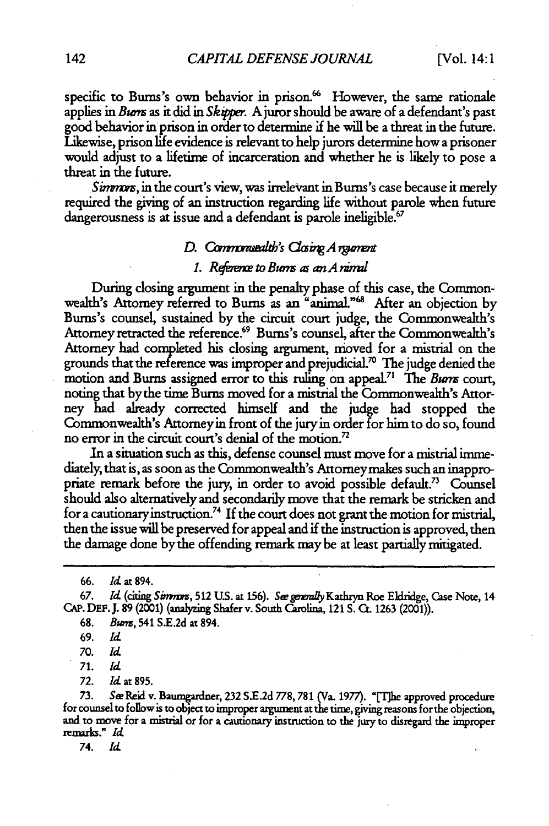specific to Burns's own behavior in prison.<sup>66</sup> However, the same rationale applies in Burns as it did in Skipper. A juror should be aware of a defendant's past good behavior inprison in order to determine **if** he will be a threat in the future. Likewise, prison life evidence is relevant to help jurors determine how a prisoner would adjust to a lifetime of incarceration and whether he is likely to pose a threat in the future.

Simmors, in the court's view, was irrelevant in Burns's case because it merely required the giving of an instruction regarding life without parole when future dangerousness is at issue and a defendant is parole ineligible.<sup>67</sup>

#### *D.* Commonwealth's Closing A regiment

#### 1. Reference to Burns as an A nimal

During dosing argument in the penalty phase of this case, the Commonwealth's Attorney referred to Burns as an "animal."<sup>68</sup> After an objection by Bums's counsel, sustained by the circuit court judge, the Commonwealth's Attorney retracted the reference.<sup>69</sup> Burns's counsel, after the Commonwealth's Attorney had completed his dosing argument, moved for a mistrial on the grounds that the reference was improper and prejudicial.<sup>70</sup> The judge denied the motion and Burns assigned error to this ruling on appeal.<sup>71</sup> The *Burns* court, noting that bythe time Bums moved for a mistrial the Commonwealth's Attorney had already corrected himself and the judge had stopped the Commonwealth's Attorney in front of the juryin order for him to do so, found no error in the circuit court's denial of the motion.72

In a situation such as this, defense counsel must move for a mistrial immediately, that is, as soon as the Commonwealth's Attorneymakes such an inappropriate remark before the jury, in order to avoid possible default.<sup>73</sup> Counsel should also alternatively and secondarily move that the remark be stricken and for a cautionary instruction.<sup>74</sup> If the court does not grant the motion for mistrial, then the issue will be preserved for appeal and if the instruction is approved, then the damage done bythe offending remark maybe at least partially mitigated.

**66.** *Id* at 894.

**67.** *Id* (citing *Sinm,* **512 US.** at 156). See *mgovllyKathryn* Roe Eldridge, Case Note, 14 CAP. **DEF.J.** 89 (2001) (analyzing Shaferv. South Carolina, 121 S. **0.** 1263 (2001)).

*70. Id*

*71. Id*

*72. Id* at 895.

**73.** S~eReid v. Baumgardner, **232 SE.2d 778,781** (Va. **1977).** "Tlhe approved procedure for counsel to follow is to object to improper argument at the **time,** giving reasons for the objection, and to move for **a** mistrial or for a cautionary instruction to the jury to disregard the improper remarks." *Id*

*74. Id*

**<sup>68.</sup>** Burm, 541 SE.2d at 894.

<sup>69.</sup> *Id*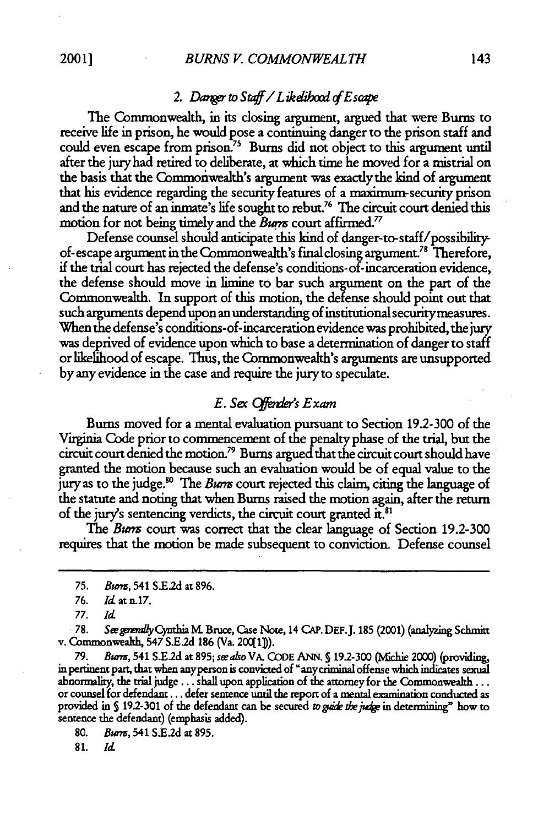## 2. Danger to Staff / Likelibood of Escape

The Commonwealth, in its dosing argument, argued that were Bums to receive life in prison, he would pose a continuing danger to the prison staff and could even escape from prison.<sup>75</sup> Burns did not object to this argument until after the jury had retired to deliberate, at which time he moved for a mistrial on the basis that the Commoriwealth's argument was exactly the kind of argument that his evidence regarding the security features of a maximum-security prison and the nature of an inmate's life sought to rebut.<sup>76</sup> The circuit court denied this motion for not being timely and the *Burn* court affirmed.<sup>77</sup>

Defense counsel should anticipate this kind of danger-to-staff/possibilityof- escape argument in the Commonwealth's final closing argument.<sup>78</sup> Therefore, if the trial court has rejected the defense's conditions-of-incarceration evidence, the defense should move in limine to bar such argument on the part of the Commonwealth. In support of this motion, the defense should point out that such arguments depend upon an understanding of institutional securitymeasures. When the defense's conditions-of-incarceration evidence was prohibited, the jury was deprived of evidence upon which to base a determination of danger to staff or likelihood of escape. Thus, the Commonwealth's arguments are unsupported by any evidence in the case and require the jury to speculate.

#### *E. Six (6 er's Exam*

Bums moved for a mental evaluation pursuant to Section 19.2-300 of the Virginia Code prior to commencement of the penalty phase of the trial, but the circuit court denied the motion.<sup>79</sup> Burns argued that the circuit court should have granted the motion because such an evaluation would be of equal value to the jury as to the judge." The *Burm* court rejected this claim, citing the language of the statute and noting that when Bums raised the motion again, after the return of the jury's sentencing verdicts, the circuit court granted it.<sup>81</sup>

The *Burns* court was correct that the clear language of Section 19.2-300 requires that the motion be made subsequent to conviction. Defense counsel

*78. See generally* **Cynthia M. Bruce, Case Note, 14 CAP. DEF. J. 185 (2001) (analyzing Schmitt v. Commonwealth, 547 S.E.2d 186 (Va. 200(1]).** 

*79. Burns,* 541 **S.E2d** at 895; *seealso* VA. **QODE ANN, S** 192-300 (Mfichie 2000) (providing, in pertinent part, that when anyperson is convicted of "anycriminal offense which indicates sexual abnormality, the trial judge  $\dots$  shall upon application of the attorney for the Commonwealth  $\dots$ or counsel for **defendant...** defer sentence until the report of a **mental** examination conducted as provided in § 19.2-301 of the defendant can be secured *to gaide the judge* in determining" how to sentence the defendant) (emphasis added).

**80.** *Bum,* 541 S.E2d at **895.**

**81.** *id*

<sup>75.</sup> *Busa,* 541 **SE2d** at 896.

*<sup>76.</sup> ld* at *n.17.*

*<sup>77.</sup> Id*